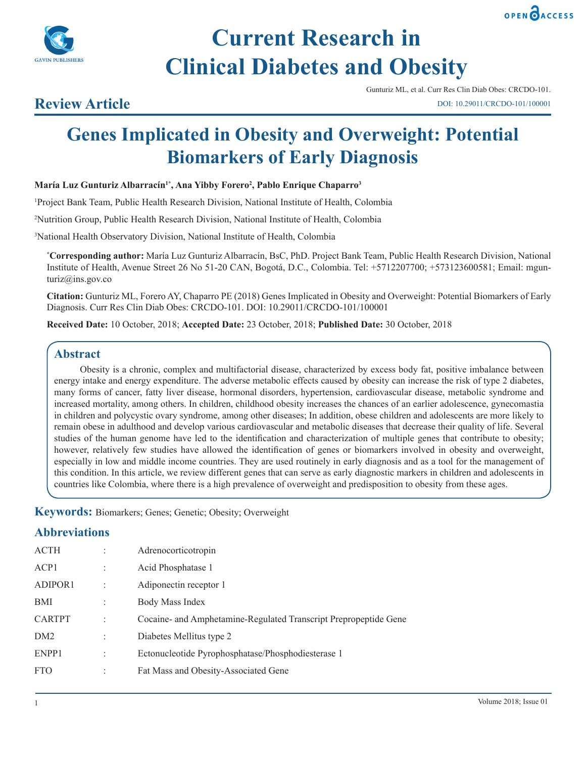



# **Current Research in Clinical Diabetes and Obesity**

# **Review Article**

Gunturiz ML, et al. Curr Res Clin Diab Obes: CRCDO-101. DOI: 10.29011/CRCDO-101/100001

# **Genes Implicated in Obesity and Overweight: Potential Biomarkers of Early Diagnosis**

**María Luz Gunturiz Albarracín1\*, Ana Yibby Forero2 , Pablo Enrique Chaparro3**

1 Project Bank Team, Public Health Research Division, National Institute of Health, Colombia

2 Nutrition Group, Public Health Research Division, National Institute of Health, Colombia

3 National Health Observatory Division, National Institute of Health, Colombia

**\* Corresponding author:** María Luz Gunturiz Albarracín, BsC, PhD. Project Bank Team, Public Health Research Division, National Institute of Health, Avenue Street 26 No 51-20 CAN, Bogotá, D.C., Colombia. Tel: +5712207700; +573123600581; Email: mgunturiz@ins.gov.co

**Citation:** Gunturiz ML, Forero AY, Chaparro PE (2018) Genes Implicated in Obesity and Overweight: Potential Biomarkers of Early Diagnosis. Curr Res Clin Diab Obes: CRCDO-101. DOI: 10.29011/CRCDO-101/100001

**Received Date:** 10 October, 2018; **Accepted Date:** 23 October, 2018; **Published Date:** 30 October, 2018

## **Abstract**

 Obesity is a chronic, complex and multifactorial disease, characterized by excess body fat, positive imbalance between energy intake and energy expenditure. The adverse metabolic effects caused by obesity can increase the risk of type 2 diabetes, many forms of cancer, fatty liver disease, hormonal disorders, hypertension, cardiovascular disease, metabolic syndrome and increased mortality, among others. In children, childhood obesity increases the chances of an earlier adolescence, gynecomastia in children and polycystic ovary syndrome, among other diseases; In addition, obese children and adolescents are more likely to remain obese in adulthood and develop various cardiovascular and metabolic diseases that decrease their quality of life. Several studies of the human genome have led to the identification and characterization of multiple genes that contribute to obesity; however, relatively few studies have allowed the identification of genes or biomarkers involved in obesity and overweight, especially in low and middle income countries. They are used routinely in early diagnosis and as a tool for the management of this condition. In this article, we review different genes that can serve as early diagnostic markers in children and adolescents in countries like Colombia, where there is a high prevalence of overweight and predisposition to obesity from these ages.

**Keywords:** Biomarkers; Genes; Genetic; Obesity; Overweight

# **Abbreviations**

| <b>ACTH</b>     |                | Adrenocorticotropin                                              |
|-----------------|----------------|------------------------------------------------------------------|
| ACP1            | $\ddot{\cdot}$ | Acid Phosphatase 1                                               |
| ADIPOR1         |                | Adiponectin receptor 1                                           |
| BMI             | ٠              | Body Mass Index                                                  |
| <b>CARTPT</b>   |                | Cocaine- and Amphetamine-Regulated Transcript Prepropeptide Gene |
| DM <sub>2</sub> | ٠              | Diabetes Mellitus type 2                                         |
| ENPP1           |                | Ectonucleotide Pyrophosphatase/Phosphodiesterase 1               |
| <b>FTO</b>      | ٠              | Fat Mass and Obesity-Associated Gene                             |
|                 |                |                                                                  |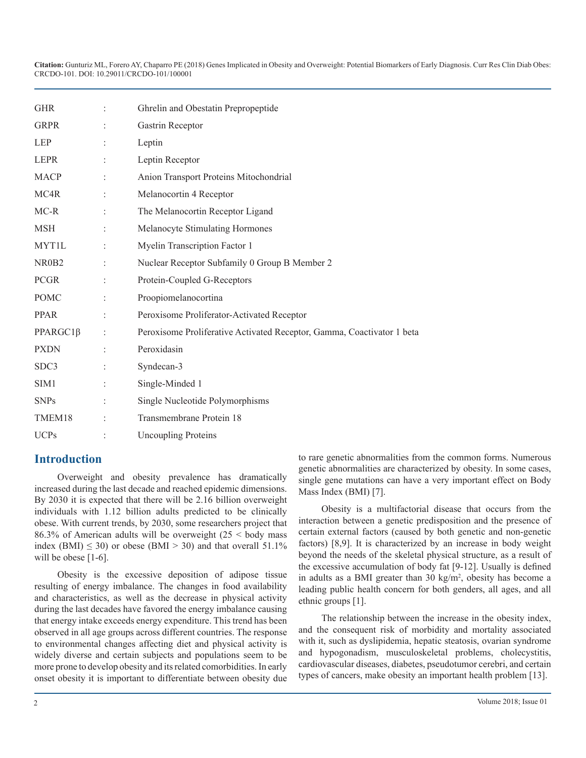| <b>GHR</b>           |                | Ghrelin and Obestatin Prepropeptide                                    |
|----------------------|----------------|------------------------------------------------------------------------|
| <b>GRPR</b>          |                | Gastrin Receptor                                                       |
| <b>LEP</b>           |                | Leptin                                                                 |
| <b>LEPR</b>          |                | Leptin Receptor                                                        |
| <b>MACP</b>          | $\ddot{\cdot}$ | Anion Transport Proteins Mitochondrial                                 |
| MC4R                 |                | Melanocortin 4 Receptor                                                |
| MC-R                 |                | The Melanocortin Receptor Ligand                                       |
| <b>MSH</b>           |                | Melanocyte Stimulating Hormones                                        |
| <b>MYT1L</b>         |                | Myelin Transcription Factor 1                                          |
| NR0B2                |                | Nuclear Receptor Subfamily 0 Group B Member 2                          |
| <b>PCGR</b>          |                | Protein-Coupled G-Receptors                                            |
| <b>POMC</b>          |                | Proopiomelanocortina                                                   |
| <b>PPAR</b>          |                | Peroxisome Proliferator-Activated Receptor                             |
| PPARGC1 <sub>B</sub> |                | Peroxisome Proliferative Activated Receptor, Gamma, Coactivator 1 beta |
| <b>PXDN</b>          |                | Peroxidasin                                                            |
| SDC3                 |                | Syndecan-3                                                             |
| SIM <sub>1</sub>     |                | Single-Minded 1                                                        |
| <b>SNPs</b>          |                | Single Nucleotide Polymorphisms                                        |
| TMEM18               |                | Transmembrane Protein 18                                               |
| <b>UCPs</b>          |                | <b>Uncoupling Proteins</b>                                             |

# **Introduction**

Overweight and obesity prevalence has dramatically increased during the last decade and reached epidemic dimensions. By 2030 it is expected that there will be 2.16 billion overweight individuals with 1.12 billion adults predicted to be clinically obese. With current trends, by 2030, some researchers project that 86.3% of American adults will be overweight  $(25 \leq$  body mass index (BMI)  $\leq$  30) or obese (BMI  $>$  30) and that overall 51.1% will be obese [1-6].

Obesity is the excessive deposition of adipose tissue resulting of energy imbalance. The changes in food availability and characteristics, as well as the decrease in physical activity during the last decades have favored the energy imbalance causing that energy intake exceeds energy expenditure. This trend has been observed in all age groups across different countries. The response to environmental changes affecting diet and physical activity is widely diverse and certain subjects and populations seem to be more prone to develop obesity and its related comorbidities. In early onset obesity it is important to differentiate between obesity due to rare genetic abnormalities from the common forms. Numerous genetic abnormalities are characterized by obesity. In some cases, single gene mutations can have a very important effect on Body Mass Index (BMI) [7].

Obesity is a multifactorial disease that occurs from the interaction between a genetic predisposition and the presence of certain external factors (caused by both genetic and non-genetic factors) [8,9]. It is characterized by an increase in body weight beyond the needs of the skeletal physical structure, as a result of the excessive accumulation of body fat [9-12]. Usually is defined in adults as a BMI greater than  $30 \text{ kg/m}^2$ , obesity has become a leading public health concern for both genders, all ages, and all ethnic groups [1].

The relationship between the increase in the obesity index, and the consequent risk of morbidity and mortality associated with it, such as dyslipidemia, hepatic steatosis, ovarian syndrome and hypogonadism, musculoskeletal problems, cholecystitis, cardiovascular diseases, diabetes, pseudotumor cerebri, and certain types of cancers, make obesity an important health problem [13].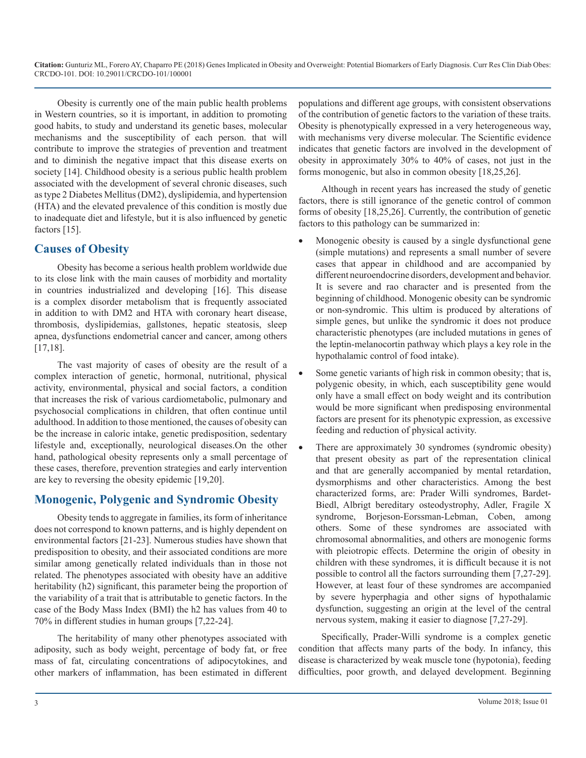Obesity is currently one of the main public health problems in Western countries, so it is important, in addition to promoting good habits, to study and understand its genetic bases, molecular mechanisms and the susceptibility of each person. that will contribute to improve the strategies of prevention and treatment and to diminish the negative impact that this disease exerts on society [14]. Childhood obesity is a serious public health problem associated with the development of several chronic diseases, such as type 2 Diabetes Mellitus (DM2), dyslipidemia, and hypertension (HTA) and the elevated prevalence of this condition is mostly due to inadequate diet and lifestyle, but it is also influenced by genetic factors [15].

# **Causes of Obesity**

Obesity has become a serious health problem worldwide due to its close link with the main causes of morbidity and mortality in countries industrialized and developing [16]. This disease is a complex disorder metabolism that is frequently associated in addition to with DM2 and HTA with coronary heart disease, thrombosis, dyslipidemias, gallstones, hepatic steatosis, sleep apnea, dysfunctions endometrial cancer and cancer, among others [17,18].

The vast majority of cases of obesity are the result of a complex interaction of genetic, hormonal, nutritional, physical activity, environmental, physical and social factors, a condition that increases the risk of various cardiometabolic, pulmonary and psychosocial complications in children, that often continue until adulthood. In addition to those mentioned, the causes of obesity can be the increase in caloric intake, genetic predisposition, sedentary lifestyle and, exceptionally, neurological diseases.On the other hand, pathological obesity represents only a small percentage of these cases, therefore, prevention strategies and early intervention are key to reversing the obesity epidemic [19,20].

# **Monogenic, Polygenic and Syndromic Obesity**

Obesity tends to aggregate in families, its form of inheritance does not correspond to known patterns, and is highly dependent on environmental factors [21-23]. Numerous studies have shown that predisposition to obesity, and their associated conditions are more similar among genetically related individuals than in those not related. The phenotypes associated with obesity have an additive heritability (h2) significant, this parameter being the proportion of the variability of a trait that is attributable to genetic factors. In the case of the Body Mass Index (BMI) the h2 has values from 40 to 70% in different studies in human groups [7,22-24].

The heritability of many other phenotypes associated with adiposity, such as body weight, percentage of body fat, or free mass of fat, circulating concentrations of adipocytokines, and other markers of inflammation, has been estimated in different

populations and different age groups, with consistent observations of the contribution of genetic factors to the variation of these traits. Obesity is phenotypically expressed in a very heterogeneous way, with mechanisms very diverse molecular. The Scientific evidence indicates that genetic factors are involved in the development of obesity in approximately 30% to 40% of cases, not just in the forms monogenic, but also in common obesity [18,25,26].

Although in recent years has increased the study of genetic factors, there is still ignorance of the genetic control of common forms of obesity [18,25,26]. Currently, the contribution of genetic factors to this pathology can be summarized in:

- Monogenic obesity is caused by a single dysfunctional gene (simple mutations) and represents a small number of severe cases that appear in childhood and are accompanied by different neuroendocrine disorders, development and behavior. It is severe and rao character and is presented from the beginning of childhood. Monogenic obesity can be syndromic or non-syndromic. This ultim is produced by alterations of simple genes, but unlike the syndromic it does not produce characteristic phenotypes (are included mutations in genes of the leptin-melanocortin pathway which plays a key role in the hypothalamic control of food intake).
- Some genetic variants of high risk in common obesity; that is, polygenic obesity, in which, each susceptibility gene would only have a small effect on body weight and its contribution would be more significant when predisposing environmental factors are present for its phenotypic expression, as excessive feeding and reduction of physical activity.
- There are approximately 30 syndromes (syndromic obesity) that present obesity as part of the representation clinical and that are generally accompanied by mental retardation, dysmorphisms and other characteristics. Among the best characterized forms, are: Prader Willi syndromes, Bardet-Biedl, Albrigt bereditary osteodystrophy, Adler, Fragile X syndrome, Borjeson-Eorssman-Lebman, Coben, among others. Some of these syndromes are associated with chromosomal abnormalities, and others are monogenic forms with pleiotropic effects. Determine the origin of obesity in children with these syndromes, it is difficult because it is not possible to control all the factors surrounding them [7,27-29]. However, at least four of these syndromes are accompanied by severe hyperphagia and other signs of hypothalamic dysfunction, suggesting an origin at the level of the central nervous system, making it easier to diagnose [7,27-29].

Specifically, Prader-Willi syndrome is a complex genetic condition that affects many parts of the body. In infancy, this disease is characterized by weak muscle tone (hypotonia), feeding difficulties, poor growth, and delayed development. Beginning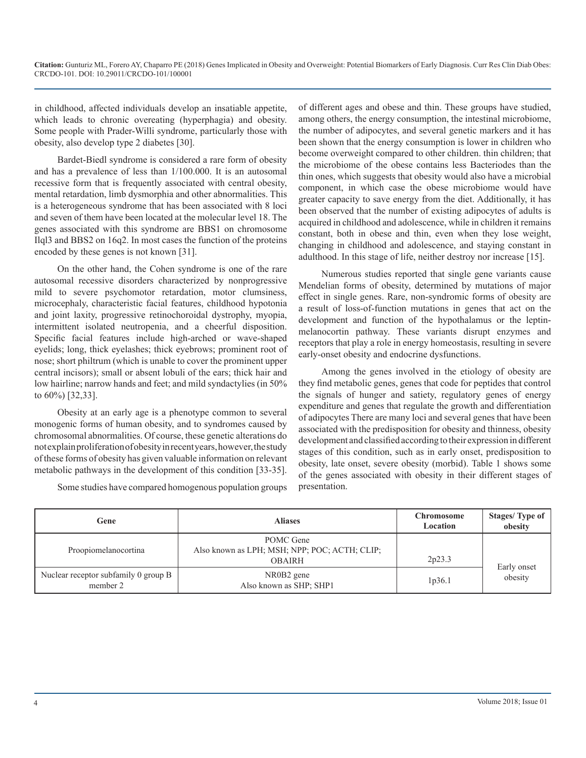in childhood, affected individuals develop an insatiable appetite, which leads to chronic overeating (hyperphagia) and obesity. Some people with Prader-Willi syndrome, particularly those with obesity, also develop type 2 diabetes [30].

Bardet-Biedl syndrome is considered a rare form of obesity and has a prevalence of less than 1/100.000. It is an autosomal recessive form that is frequently associated with central obesity, mental retardation, limb dysmorphia and other abnormalities. This is a heterogeneous syndrome that has been associated with 8 loci and seven of them have been located at the molecular level 18. The genes associated with this syndrome are BBS1 on chromosome Ilql3 and BBS2 on 16q2. In most cases the function of the proteins encoded by these genes is not known [31].

On the other hand, the Cohen syndrome is one of the rare autosomal recessive disorders characterized by nonprogressive mild to severe psychomotor retardation, motor clumsiness, microcephaly, characteristic facial features, childhood hypotonia and joint laxity, progressive retinochoroidal dystrophy, myopia, intermittent isolated neutropenia, and a cheerful disposition. Specific facial features include high-arched or wave-shaped eyelids; long, thick eyelashes; thick eyebrows; prominent root of nose; short philtrum (which is unable to cover the prominent upper central incisors); small or absent lobuli of the ears; thick hair and low hairline; narrow hands and feet; and mild syndactylies (in 50% to 60%) [32,33].

Obesity at an early age is a phenotype common to several monogenic forms of human obesity, and to syndromes caused by chromosomal abnormalities. Of course, these genetic alterations do not explain proliferation of obesity in recent years, however, the study of these forms of obesity has given valuable information on relevant metabolic pathways in the development of this condition [33-35].

Some studies have compared homogenous population groups

of different ages and obese and thin. These groups have studied, among others, the energy consumption, the intestinal microbiome, the number of adipocytes, and several genetic markers and it has been shown that the energy consumption is lower in children who become overweight compared to other children. thin children; that the microbiome of the obese contains less Bacteriodes than the thin ones, which suggests that obesity would also have a microbial component, in which case the obese microbiome would have greater capacity to save energy from the diet. Additionally, it has been observed that the number of existing adipocytes of adults is acquired in childhood and adolescence, while in children it remains constant, both in obese and thin, even when they lose weight, changing in childhood and adolescence, and staying constant in adulthood. In this stage of life, neither destroy nor increase [15].

Numerous studies reported that single gene variants cause Mendelian forms of obesity, determined by mutations of major effect in single genes. Rare, non-syndromic forms of obesity are a result of loss-of-function mutations in genes that act on the development and function of the hypothalamus or the leptinmelanocortin pathway. These variants disrupt enzymes and receptors that play a role in energy homeostasis, resulting in severe early-onset obesity and endocrine dysfunctions.

Among the genes involved in the etiology of obesity are they find metabolic genes, genes that code for peptides that control the signals of hunger and satiety, regulatory genes of energy expenditure and genes that regulate the growth and differentiation of adipocytes There are many loci and several genes that have been associated with the predisposition for obesity and thinness, obesity development and classified according to their expression in different stages of this condition, such as in early onset, predisposition to obesity, late onset, severe obesity (morbid). Table 1 shows some of the genes associated with obesity in their different stages of presentation.

| Gene                                             | <b>Aliases</b>                                                              | <b>Chromosome</b><br>Location | Stages/Type of<br>obesity |
|--------------------------------------------------|-----------------------------------------------------------------------------|-------------------------------|---------------------------|
| Proopiomelanocortina                             | POMC Gene<br>Also known as LPH; MSH; NPP; POC; ACTH; CLIP;<br><b>OBAIRH</b> | 2p23.3                        |                           |
| Nuclear receptor subfamily 0 group B<br>member 2 | NR0B2 gene<br>Also known as SHP; SHP1                                       | 1p36.1                        | Early onset<br>obesity    |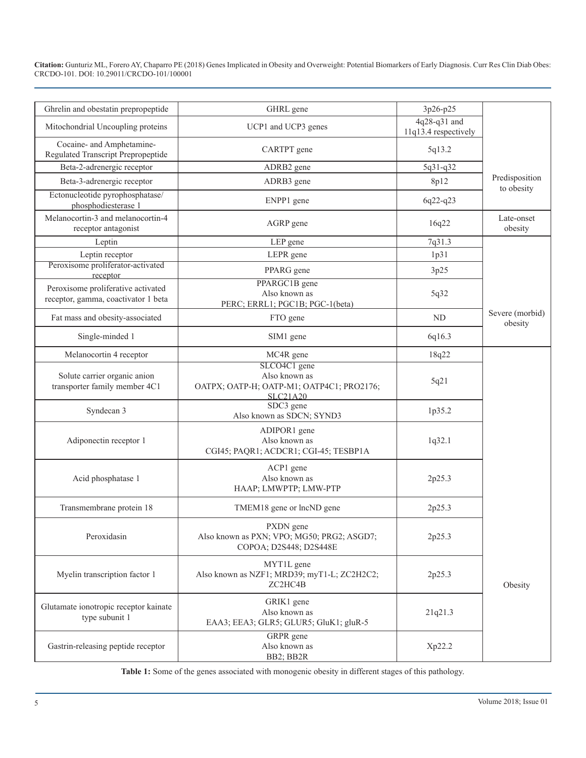| Ghrelin and obestatin prepropeptide                                       | GHRL gene                                                                                     | 3p26-p25                             |                              |
|---------------------------------------------------------------------------|-----------------------------------------------------------------------------------------------|--------------------------------------|------------------------------|
| Mitochondrial Uncoupling proteins                                         | UCP1 and UCP3 genes                                                                           | 4q28-q31 and<br>11q13.4 respectively |                              |
| Cocaine- and Amphetamine-<br>Regulated Transcript Prepropeptide           | CARTPT gene                                                                                   | 5q13.2                               |                              |
| Beta-2-adrenergic receptor                                                | ADRB2 gene                                                                                    | 5q31-q32                             |                              |
| Beta-3-adrenergic receptor                                                | ADRB3 gene                                                                                    | 8p12                                 | Predisposition<br>to obesity |
| Ectonucleotide pyrophosphatase/<br>phosphodiesterase 1                    | ENPP1 gene                                                                                    | 6q22-q23                             |                              |
| Melanocortin-3 and melanocortin-4<br>receptor antagonist                  | AGRP gene                                                                                     | 16q22                                | Late-onset<br>obesity        |
| Leptin                                                                    | LEP gene                                                                                      | 7q31.3                               |                              |
| Leptin receptor                                                           | LEPR gene                                                                                     | 1p31                                 |                              |
| Peroxisome proliferator-activated<br>receptor                             | PPARG gene                                                                                    | 3p25                                 |                              |
| Peroxisome proliferative activated<br>receptor, gamma, coactivator 1 beta | PPARGC1B gene<br>Also known as<br>PERC; ERRL1; PGC1B; PGC-1(beta)                             | 5q32                                 |                              |
| Fat mass and obesity-associated                                           | FTO gene                                                                                      | N <sub>D</sub>                       | Severe (morbid)<br>obesity   |
| Single-minded 1                                                           | SIM1 gene                                                                                     | 6q16.3                               |                              |
| Melanocortin 4 receptor                                                   | MC4R gene                                                                                     | 18q22                                |                              |
| Solute carrier organic anion<br>transporter family member 4C1             | SLCO4C1 gene<br>Also known as<br>OATPX; OATP-H; OATP-M1; OATP4C1; PRO2176;<br><b>SLC21A20</b> | 5q21                                 |                              |
| Syndecan 3                                                                | SDC3 gene<br>Also known as SDCN; SYND3                                                        | 1p35.2                               |                              |
| Adiponectin receptor 1                                                    | ADIPOR1 gene<br>Also known as<br>CGI45; PAQR1; ACDCR1; CGI-45; TESBP1A                        | 1q32.1                               |                              |
| Acid phosphatase 1                                                        | ACP1 gene<br>Also known as<br>HAAP; LMWPTP; LMW-PTP                                           | 2p25.3                               |                              |
| Transmembrane protein 18                                                  | TMEM18 gene or lncND gene                                                                     | 2p25.3                               |                              |
| Peroxidasin                                                               | PXDN gene<br>Also known as PXN; VPO; MG50; PRG2; ASGD7;<br>COPOA; D2S448; D2S448E             | 2p25.3                               |                              |
| Myelin transcription factor 1                                             | MYT1L gene<br>Also known as NZF1; MRD39; myT1-L; ZC2H2C2;<br>ZC2HC4B                          | 2p25.3                               | Obesity                      |
| Glutamate ionotropic receptor kainate<br>type subunit 1                   | GRIK1 gene<br>Also known as<br>EAA3; EEA3; GLR5; GLUR5; GluK1; gluR-5                         | 21q21.3                              |                              |
| Gastrin-releasing peptide receptor                                        | GRPR gene<br>Also known as<br>BB2; BB2R                                                       | Xp22.2                               |                              |

**Table 1:** Some of the genes associated with monogenic obesity in different stages of this pathology.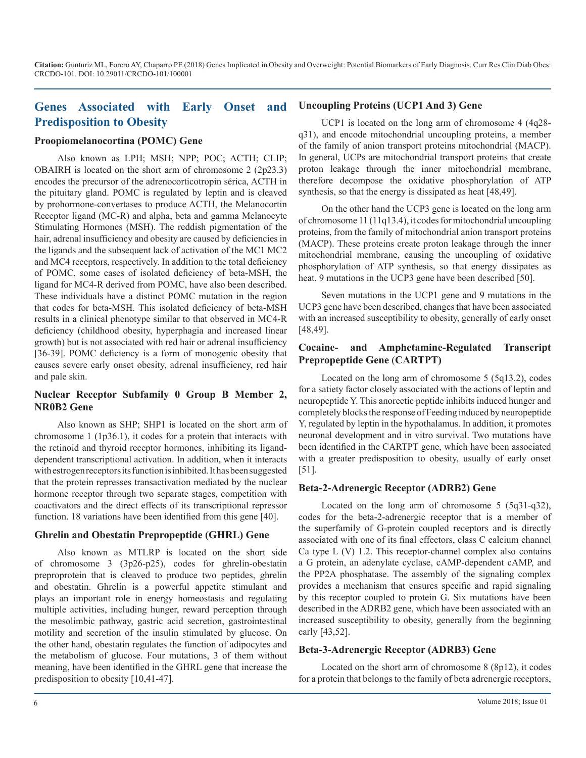# **Genes Associated with Early Onset and Predisposition to Obesity**

#### **Proopiomelanocortina (POMC) Gene**

Also known as LPH; MSH; NPP; POC; ACTH; CLIP; OBAIRH is located on the short arm of chromosome 2 (2p23.3) encodes the precursor of the adrenocorticotropin sérica, ACTH in the pituitary gland. POMC is regulated by leptin and is cleaved by prohormone-convertases to produce ACTH, the Melanocortin Receptor ligand (MC-R) and alpha, beta and gamma Melanocyte Stimulating Hormones (MSH). The reddish pigmentation of the hair, adrenal insufficiency and obesity are caused by deficiencies in the ligands and the subsequent lack of activation of the MC1 MC2 and MC4 receptors, respectively. In addition to the total deficiency of POMC, some cases of isolated deficiency of beta-MSH, the ligand for MC4-R derived from POMC, have also been described. These individuals have a distinct POMC mutation in the region that codes for beta-MSH. This isolated deficiency of beta-MSH results in a clinical phenotype similar to that observed in MC4-R deficiency (childhood obesity, hyperphagia and increased linear growth) but is not associated with red hair or adrenal insufficiency [36-39]. POMC deficiency is a form of monogenic obesity that causes severe early onset obesity, adrenal insufficiency, red hair and pale skin.

#### **Nuclear Receptor Subfamily 0 Group B Member 2, NR0B2 Gene**

Also known as SHP; SHP1 is located on the short arm of chromosome 1 (1p36.1), it codes for a protein that interacts with the retinoid and thyroid receptor hormones, inhibiting its liganddependent transcriptional activation. In addition, when it interacts with estrogen receptors its function is inhibited. It has been suggested that the protein represses transactivation mediated by the nuclear hormone receptor through two separate stages, competition with coactivators and the direct effects of its transcriptional repressor function. 18 variations have been identified from this gene [40].

#### **Ghrelin and Obestatin Prepropeptide (GHRL) Gene**

Also known as MTLRP is located on the short side of chromosome 3 (3p26-p25), codes for ghrelin-obestatin preproprotein that is cleaved to produce two peptides, ghrelin and obestatin. Ghrelin is a powerful appetite stimulant and plays an important role in energy homeostasis and regulating multiple activities, including hunger, reward perception through the mesolimbic pathway, gastric acid secretion, gastrointestinal motility and secretion of the insulin stimulated by glucose. On the other hand, obestatin regulates the function of adipocytes and the metabolism of glucose. Four mutations, 3 of them without meaning, have been identified in the GHRL gene that increase the predisposition to obesity [10,41-47].

#### **Uncoupling Proteins (UCP1 And 3) Gene**

UCP1 is located on the long arm of chromosome 4 (4q28 q31), and encode mitochondrial uncoupling proteins, a member of the family of anion transport proteins mitochondrial (MACP). In general, UCPs are mitochondrial transport proteins that create proton leakage through the inner mitochondrial membrane, therefore decompose the oxidative phosphorylation of ATP synthesis, so that the energy is dissipated as heat [48,49].

On the other hand the UCP3 gene is **l**ocated on the long arm of chromosome 11 (11q13.4), it codes for mitochondrial uncoupling proteins, from the family of mitochondrial anion transport proteins (MACP). These proteins create proton leakage through the inner mitochondrial membrane, causing the uncoupling of oxidative phosphorylation of ATP synthesis, so that energy dissipates as heat. 9 mutations in the UCP3 gene have been described [50].

Seven mutations in the UCP1 gene and 9 mutations in the UCP3 gene have been described, changes that have been associated with an increased susceptibility to obesity, generally of early onset [48,49].

#### **Cocaine- and Amphetamine-Regulated Transcript Prepropeptide Gene** (**CARTPT)**

Located on the long arm of chromosome 5 (5q13.2), codes for a satiety factor closely associated with the actions of leptin and neuropeptide Y. This anorectic peptide inhibits induced hunger and completely blocks the response of Feeding induced by neuropeptide Y, regulated by leptin in the hypothalamus. In addition, it promotes neuronal development and in vitro survival. Two mutations have been identified in the CARTPT gene, which have been associated with a greater predisposition to obesity, usually of early onset [51].

#### **Beta-2-Adrenergic Receptor (ADRB2) Gene**

Located on the long arm of chromosome 5 (5q31-q32), codes for the beta-2-adrenergic receptor that is a member of the superfamily of G-protein coupled receptors and is directly associated with one of its final effectors, class C calcium channel Ca type L (V) 1.2. This receptor-channel complex also contains a G protein, an adenylate cyclase, cAMP-dependent cAMP, and the PP2A phosphatase. The assembly of the signaling complex provides a mechanism that ensures specific and rapid signaling by this receptor coupled to protein G. Six mutations have been described in the ADRB2 gene, which have been associated with an increased susceptibility to obesity, generally from the beginning early [43,52].

#### **Beta-3-Adrenergic Receptor (ADRB3) Gene**

Located on the short arm of chromosome 8 (8p12), it codes for a protein that belongs to the family of beta adrenergic receptors,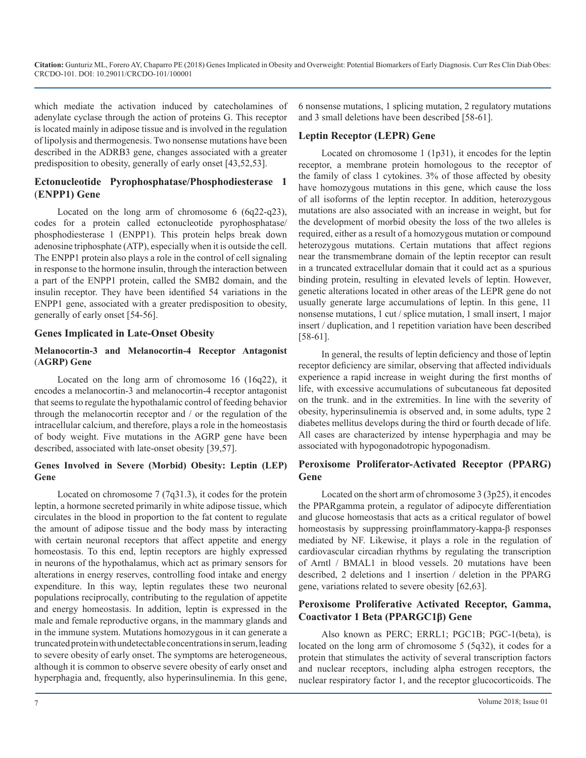which mediate the activation induced by catecholamines of adenylate cyclase through the action of proteins G. This receptor is located mainly in adipose tissue and is involved in the regulation of lipolysis and thermogenesis. Two nonsense mutations have been described in the ADRB3 gene, changes associated with a greater predisposition to obesity, generally of early onset [43,52,53].

## **Ectonucleotide Pyrophosphatase/Phosphodiesterase 1** (**ENPP1) Gene**

Located on the long arm of chromosome 6 (6q22-q23), codes for a protein called ectonucleotide pyrophosphatase/ phosphodiesterase 1 (ENPP1). This protein helps break down adenosine triphosphate (ATP), especially when it is outside the cell. The ENPP1 protein also plays a role in the control of cell signaling in response to the hormone insulin, through the interaction between a part of the ENPP1 protein, called the SMB2 domain, and the insulin receptor. They have been identified 54 variations in the ENPP1 gene, associated with a greater predisposition to obesity, generally of early onset [54-56].

#### **Genes Implicated in Late-Onset Obesity**

#### **Melanocortin-3 and Melanocortin-4 Receptor Antagonist** (**AGRP) Gene**

Located on the long arm of chromosome 16 (16q22), it encodes a melanocortin-3 and melanocortin-4 receptor antagonist that seems to regulate the hypothalamic control of feeding behavior through the melanocortin receptor and / or the regulation of the intracellular calcium, and therefore, plays a role in the homeostasis of body weight. Five mutations in the AGRP gene have been described, associated with late-onset obesity [39,57].

#### **Genes Involved in Severe (Morbid) Obesity: Leptin (LEP) Gene**

Located on chromosome 7 (7q31.3), it codes for the protein leptin, a hormone secreted primarily in white adipose tissue, which circulates in the blood in proportion to the fat content to regulate the amount of adipose tissue and the body mass by interacting with certain neuronal receptors that affect appetite and energy homeostasis. To this end, leptin receptors are highly expressed in neurons of the hypothalamus, which act as primary sensors for alterations in energy reserves, controlling food intake and energy expenditure. In this way, leptin regulates these two neuronal populations reciprocally, contributing to the regulation of appetite and energy homeostasis. In addition, leptin is expressed in the male and female reproductive organs, in the mammary glands and in the immune system. Mutations homozygous in it can generate a truncated protein with undetectable concentrations in serum, leading to severe obesity of early onset. The symptoms are heterogeneous, although it is common to observe severe obesity of early onset and hyperphagia and, frequently, also hyperinsulinemia. In this gene,

6 nonsense mutations, 1 splicing mutation, 2 regulatory mutations and 3 small deletions have been described [58-61].

#### **Leptin Receptor (LEPR) Gene**

Located on chromosome 1 (1p31), it encodes for the leptin receptor, a membrane protein homologous to the receptor of the family of class 1 cytokines. 3% of those affected by obesity have homozygous mutations in this gene, which cause the loss of all isoforms of the leptin receptor. In addition, heterozygous mutations are also associated with an increase in weight, but for the development of morbid obesity the loss of the two alleles is required, either as a result of a homozygous mutation or compound heterozygous mutations. Certain mutations that affect regions near the transmembrane domain of the leptin receptor can result in a truncated extracellular domain that it could act as a spurious binding protein, resulting in elevated levels of leptin. However, genetic alterations located in other areas of the LEPR gene do not usually generate large accumulations of leptin. In this gene, 11 nonsense mutations, 1 cut / splice mutation, 1 small insert, 1 major insert / duplication, and 1 repetition variation have been described [58-61].

In general, the results of leptin deficiency and those of leptin receptor deficiency are similar, observing that affected individuals experience a rapid increase in weight during the first months of life, with excessive accumulations of subcutaneous fat deposited on the trunk. and in the extremities. In line with the severity of obesity, hyperinsulinemia is observed and, in some adults, type 2 diabetes mellitus develops during the third or fourth decade of life. All cases are characterized by intense hyperphagia and may be associated with hypogonadotropic hypogonadism.

## **Peroxisome Proliferator-Activated Receptor (PPARG) Gene**

Located on the short arm of chromosome 3 (3p25), it encodes the PPARgamma protein, a regulator of adipocyte differentiation and glucose homeostasis that acts as a critical regulator of bowel homeostasis by suppressing proinflammatory-kappa-β responses mediated by NF. Likewise, it plays a role in the regulation of cardiovascular circadian rhythms by regulating the transcription of Arntl / BMAL1 in blood vessels. 20 mutations have been described, 2 deletions and 1 insertion / deletion in the PPARG gene, variations related to severe obesity [62,63].

#### **Peroxisome Proliferative Activated Receptor, Gamma, Coactivator 1 Beta (PPARGC1β) Gene**

Also known as PERC; ERRL1; PGC1B; PGC-1(beta), is located on the long arm of chromosome 5 (5q32), it codes for a protein that stimulates the activity of several transcription factors and nuclear receptors, including alpha estrogen receptors, the nuclear respiratory factor 1, and the receptor glucocorticoids. The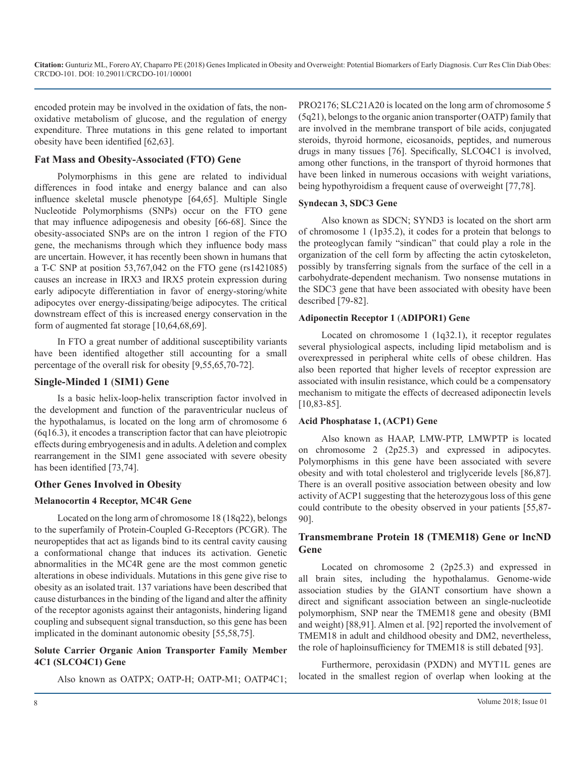encoded protein may be involved in the oxidation of fats, the nonoxidative metabolism of glucose, and the regulation of energy expenditure. Three mutations in this gene related to important obesity have been identified [62,63].

#### **Fat Mass and Obesity-Associated (FTO) Gene**

Polymorphisms in this gene are related to individual differences in food intake and energy balance and can also influence skeletal muscle phenotype [64,65]. Multiple Single Nucleotide Polymorphisms (SNPs) occur on the FTO gene that may influence adipogenesis and obesity [66-68]. Since the obesity-associated SNPs are on the intron 1 region of the FTO gene, the mechanisms through which they influence body mass are uncertain. However, it has recently been shown in humans that a T-C SNP at position 53,767,042 on the FTO gene (rs1421085) causes an increase in IRX3 and IRX5 protein expression during early adipocyte differentiation in favor of energy-storing/white adipocytes over energy-dissipating/beige adipocytes. The critical downstream effect of this is increased energy conservation in the form of augmented fat storage [10,64,68,69].

In FTO a great number of additional susceptibility variants have been identified altogether still accounting for a small percentage of the overall risk for obesity [9,55,65,70-72].

#### **Single-Minded 1** (**SIM1) Gene**

Is a basic helix-loop-helix transcription factor involved in the development and function of the paraventricular nucleus of the hypothalamus, is located on the long arm of chromosome 6 (6q16.3), it encodes a transcription factor that can have pleiotropic effects during embryogenesis and in adults. A deletion and complex rearrangement in the SIM1 gene associated with severe obesity has been identified [73,74].

# **Other Genes Involved in Obesity**

#### **Melanocortin 4 Receptor, MC4R Gene**

Located on the long arm of chromosome 18 (18q22), belongs to the superfamily of Protein-Coupled G-Receptors (PCGR). The neuropeptides that act as ligands bind to its central cavity causing a conformational change that induces its activation. Genetic abnormalities in the MC4R gene are the most common genetic alterations in obese individuals. Mutations in this gene give rise to obesity as an isolated trait. 137 variations have been described that cause disturbances in the binding of the ligand and alter the affinity of the receptor agonists against their antagonists, hindering ligand coupling and subsequent signal transduction, so this gene has been implicated in the dominant autonomic obesity [55,58,75].

#### **Solute Carrier Organic Anion Transporter Family Member 4C1 (SLCO4C1) Gene**

Also known as OATPX; OATP-H; OATP-M1; OATP4C1;

PRO2176; SLC21A20 is located on the long arm of chromosome 5 (5q21), belongs to the organic anion transporter (OATP) family that are involved in the membrane transport of bile acids, conjugated steroids, thyroid hormone, eicosanoids, peptides, and numerous drugs in many tissues [76]. Specifically, SLCO4C1 is involved, among other functions, in the transport of thyroid hormones that have been linked in numerous occasions with weight variations, being hypothyroidism a frequent cause of overweight [77,78].

#### **Syndecan 3, SDC3 Gene**

Also known as SDCN; SYND3 is located on the short arm of chromosome 1 (1p35.2), it codes for a protein that belongs to the proteoglycan family "sindican" that could play a role in the organization of the cell form by affecting the actin cytoskeleton, possibly by transferring signals from the surface of the cell in a carbohydrate-dependent mechanism. Two nonsense mutations in the SDC3 gene that have been associated with obesity have been described [79-82].

#### **Adiponectin Receptor 1** (**ADIPOR1) Gene**

Located on chromosome 1 (1q32.1), it receptor regulates several physiological aspects, including lipid metabolism and is overexpressed in peripheral white cells of obese children. Has also been reported that higher levels of receptor expression are associated with insulin resistance, which could be a compensatory mechanism to mitigate the effects of decreased adiponectin levels [10,83-85].

#### **Acid Phosphatase 1, (ACP1) Gene**

Also known as HAAP, LMW-PTP, LMWPTP is located on chromosome 2 (2p25.3) and expressed in adipocytes. Polymorphisms in this gene have been associated with severe obesity and with total cholesterol and triglyceride levels [86,87]. There is an overall positive association between obesity and low activity of ACP1 suggesting that the heterozygous loss of this gene could contribute to the obesity observed in your patients [55,87- 90].

# **Transmembrane Protein 18 (TMEM18) Gene or lncND Gene**

Located on chromosome 2 (2p25.3) and expressed in all brain sites, including the hypothalamus. Genome-wide association studies by the GIANT consortium have shown a direct and significant association between an single-nucleotide polymorphism, SNP near the TMEM18 gene and obesity (BMI and weight) [88,91]. Almen et al. [92] reported the involvement of TMEM18 in adult and childhood obesity and DM2, nevertheless, the role of haploinsufficiency for TMEM18 is still debated [93].

Furthermore, peroxidasin (PXDN) and MYT1L genes are located in the smallest region of overlap when looking at the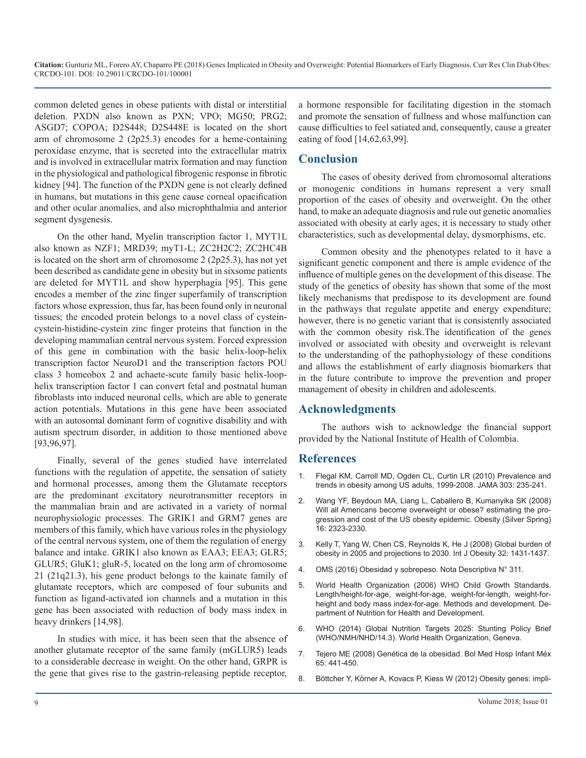common deleted genes in obese patients with distal or interstitial deletion. PXDN also known as PXN; VPO; MG50; PRG2; ASGD7; COPOA; D2S448; D2S448E is located on the short arm of chromosome 2 (2p25.3) encodes for a heme-containing peroxidase enzyme, that is secreted into the extracellular matrix and is involved in extracellular matrix formation and may function in the physiological and pathological fibrogenic response in fibrotic kidney [94]. The function of the PXDN gene is not clearly defined in humans, but mutations in this gene cause corneal opacification and other ocular anomalies, and also microphthalmia and anterior segment dysgenesis.

On the other hand, Myelin transcription factor 1, MYT1L also known as NZF1; MRD39; myT1-L; ZC2H2C2; ZC2HC4B is located on the short arm of chromosome 2 (2p25.3), has not yet been described as candidate gene in obesity but in sixsome patients are deleted for MYT1L and show hyperphagia [95]. This gene encodes a member of the zinc finger superfamily of transcription factors whose expression, thus far, has been found only in neuronal tissues; the encoded protein belongs to a novel class of cysteincystein-histidine-cystein zinc finger proteins that function in the developing mammalian central nervous system. Forced expression of this gene in combination with the basic helix-loop-helix transcription factor NeuroD1 and the transcription factors POU class 3 homeobox 2 and achaete-scute family basic helix-loophelix transcription factor 1 can convert fetal and postnatal human fibroblasts into induced neuronal cells, which are able to generate action potentials. Mutations in this gene have been associated with an autosomal dominant form of cognitive disability and with autism spectrum disorder, in addition to those mentioned above [93,96,97].

Finally, several of the genes studied have interrelated functions with the regulation of appetite, the sensation of satiety [and hormonal processes, among them the Glutamate receptors](https://www.ncbi.nlm.nih.gov/pubmed/20071471)  are the predominant excitatory neurotransmitter receptors in the mammalian brain and are activated in a variety of normal neurophysiologic processes. The GRIK1 and GRM7 genes are members of this family, which have various roles in the physiology of the central nervous system, one of them the regulation of energy [balance and intake. GRIK1 also known as EAA3; EEA3; GLR5;](https://www.ncbi.nlm.nih.gov/pubmed/18607383)  GLUR5; GluK1; gluR-5, located on the long arm of chromosome 21 (21q21.3), his gene product belongs to the kainate family of glutamate receptors, which are composed of four subunits and function as ligand-activated ion channels and a mutation in this gene has been associated with reduction of body mass index in heavy drinkers [14,98].

[In studies with mice, it has been seen that the absence of](http://www.thousanddays.org/wp-content/uploads/Stunting-Policy-Brief.pdf)  another glutamate receptor of the same family (mGLUR5) leads [to a considerable decrease in weight. On the other hand, GRPR is](http://www.scielo.org.mx/scielo.php?script=sci_abstract&pid=S1665-11462008000600005&lng=es&nrm=iso&tlng=es)  the gene that gives rise to the gastrin-releasing peptide receptor,

a hormone responsible for facilitating digestion in the stomach and promote the sensation of fullness and whose malfunction can cause difficulties to feel satiated and, consequently, cause a greater eating of food [14,62,63,99].

## **Conclusion**

The cases of obesity derived from chromosomal alterations or monogenic conditions in humans represent a very small proportion of the cases of obesity and overweight. On the other hand, to make an adequate diagnosis and rule out genetic anomalies associated with obesity at early ages, it is necessary to study other characteristics, such as developmental delay, dysmorphisms, etc.

Common obesity and the phenotypes related to it have a significant genetic component and there is ample evidence of the influence of multiple genes on the development of this disease. The study of the genetics of obesity has shown that some of the most likely mechanisms that predispose to its development are found in the pathways that regulate appetite and energy expenditure; however, there is no genetic variant that is consistently associated with the common obesity risk.The identification of the genes involved or associated with obesity and overweight is relevant to the understanding of the pathophysiology of these conditions and allows the establishment of early diagnosis biomarkers that in the future contribute to improve the prevention and proper management of obesity in children and adolescents.

# **Acknowledgments**

The authors wish to acknowledge the financial support provided by the National Institute of Health of Colombia.

#### **References**

- 1. [Flegal KM, Carroll MD, Ogden CL, Curtin LR \(2010\) Prevalence and](https://www.ncbi.nlm.nih.gov/pubmed/20071471)  trends in obesity among US adults, 1999-2008. JAMA 303: 235-241.
- 2. [Wang YF, Beydoun MA, Liang L, Caballero B, Kumanyika SK \(2008\)](https://www.ncbi.nlm.nih.gov/pubmed/18719634)  [Will all Americans become overweight or obese? estimating the pro](https://www.ncbi.nlm.nih.gov/pubmed/18719634)[gression and cost of the US obesity epidemic. Obesity \(Silver Spring\)](https://www.ncbi.nlm.nih.gov/pubmed/18719634)  [16: 2323-2330.](https://www.ncbi.nlm.nih.gov/pubmed/18719634)
- 3. [Kelly T, Yang W, Chen CS, Reynolds K, He J \(2008\) Global burden of](https://www.ncbi.nlm.nih.gov/pubmed/18607383) obesity in 2005 and projections to 2030. Int J Obesity 32: 1431-1437.
- 4. [OMS \(2016\) Obesidad y sobrepeso. Nota Descriptiva N° 311.](http://www.who.int/es/news-room/fact-sheets/detail/obesity-and-overweight)
- 5. [World Health Organization \(2006\) WHO Child Growth Standards.](http://www.who.int/childgrowth/standards/Technical_report.pdf?ua=1)  [Length/height-for-age, weight-for-age, weight-for-length, weight-for](http://www.who.int/childgrowth/standards/Technical_report.pdf?ua=1)[height and body mass index-for-age. Methods and development. De](http://www.who.int/childgrowth/standards/Technical_report.pdf?ua=1)[partment of Nutrition for Health and Development.](http://www.who.int/childgrowth/standards/Technical_report.pdf?ua=1)
- 6. [WHO \(2014\) Global Nutrition Targets 2025: Stunting Policy Brief](http://www.thousanddays.org/wp-content/uploads/Stunting-Policy-Brief.pdf)  (WHO/NMH/NHD/14.3). World Health Organization, Geneva.
- 7. [Tejero ME \(2008\) Genética de la obesidad. Bol Med Hosp Infant Méx](http://www.scielo.org.mx/scielo.php?script=sci_abstract&pid=S1665-11462008000600005&lng=es&nrm=iso&tlng=es)  65: 441-450.
- 8. [Böttcher Y, Körner A, Kovacs P, Kiess W \(2012\) Obesity genes: impli-](https://www.sciencedirect.com/science/article/pii/S1751722211002010)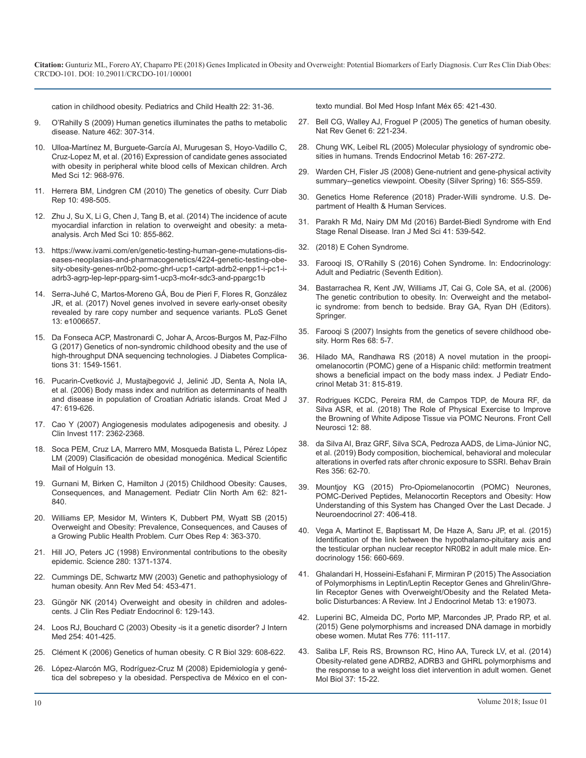[cation in childhood obesity. Pediatrics and Child Health 22: 31-36.](https://www.sciencedirect.com/science/article/pii/S1751722211002010)

- 9. [O'Rahilly S \(2009\) Human genetics illuminates the paths to metabolic](https://www.ncbi.nlm.nih.gov/pubmed/19924209)  disease. Nature 462: 307-314.
- 10. [Ulloa-Martínez M, Burguete-García AI, Murugesan S, Hoyo-Vadillo C,](https://www.ncbi.nlm.nih.gov/pubmed/27695486)  Cruz-Lopez M, et al. (2016) Expression of candidate genes associated [with obesity in peripheral white blood cells of Mexican children. Arch](https://www.ncbi.nlm.nih.gov/pubmed/27695486)  [Med Sci 12: 968-976.](https://www.ncbi.nlm.nih.gov/pubmed/27695486)
- 11. [Herrera BM, Lindgren CM \(2010\) The genetics of obesity. Curr Diab](https://www.ncbi.nlm.nih.gov/pubmed/20931363)  Rep 10: 498-505.
- 12. [Zhu J, Su X, Li G, Chen J, Tang B, et al. \(2014\) The incidence of acute](https://www.ncbi.nlm.nih.gov/pubmed/25395935)  myocardial infarction in relation to overweight and obesity: a meta[analysis. Arch Med Sci 10: 855-862.](https://www.ncbi.nlm.nih.gov/pubmed/25395935)
- 13. [https://www.ivami.com/en/genetic-testing-human-gene-mutations-dis](https://www.ivami.com/en/genetic-testing-human-gene-mutations-diseases-neoplasias-and-pharmacogenetics/4224-genetic-testing-obesity-obesity-genes-nr0b2-pomc-ghrl-ucp1-cartpt-adrb2-enpp1-i-pc1-i-adrb3-agrp-lep-lepr-pparg-sim1-ucp3-mc4r-sdc3-and-ppargc1b)eases-neoplasias-and-pharmacogenetics/4224-genetic-testing-obe[sity-obesity-genes-nr0b2-pomc-ghrl-ucp1-cartpt-adrb2-enpp1-i-pc1-i](https://www.ivami.com/en/genetic-testing-human-gene-mutations-diseases-neoplasias-and-pharmacogenetics/4224-genetic-testing-obesity-obesity-genes-nr0b2-pomc-ghrl-ucp1-cartpt-adrb2-enpp1-i-pc1-i-adrb3-agrp-lep-lepr-pparg-sim1-ucp3-mc4r-sdc3-and-ppargc1b)[adrb3-agrp-lep-lepr-pparg-sim1-ucp3-mc4r-sdc3-and-ppargc1b](https://www.ivami.com/en/genetic-testing-human-gene-mutations-diseases-neoplasias-and-pharmacogenetics/4224-genetic-testing-obesity-obesity-genes-nr0b2-pomc-ghrl-ucp1-cartpt-adrb2-enpp1-i-pc1-i-adrb3-agrp-lep-lepr-pparg-sim1-ucp3-mc4r-sdc3-and-ppargc1b)
- 14. [Serra-Juhé C, Martos-Moreno GÁ, Bou de Pieri F, Flores R, González](https://www.ncbi.nlm.nih.gov/pubmed/28489853)  JR, et al. (2017) Novel genes involved in severe early-onset obesity [revealed by rare copy number and sequence variants. PLoS Genet](https://www.ncbi.nlm.nih.gov/pubmed/28489853) [13: e1006657.](https://www.ncbi.nlm.nih.gov/pubmed/28489853)
- 15. [Da Fonseca ACP, Mastronardi C, Johar A, Arcos-Burgos M, Paz-Filho](https://www.ncbi.nlm.nih.gov/pubmed/28735903)  G (2017) Genetics of non-syndromic childhood obesity and the use of [high-throughput DNA sequencing technologies. J Diabetes Complica](https://www.ncbi.nlm.nih.gov/pubmed/28735903)[tions 31: 1549-1561.](https://www.ncbi.nlm.nih.gov/pubmed/28735903)
- 16. [Pucarin-Cvetković J, Mustajbegović J, Jelinić JD, Senta A, Nola IA,](https://www.ncbi.nlm.nih.gov/pubmed/16909460)  et al. (2006) Body mass index and nutrition as determinants of health [and disease in population of Croatian Adriatic islands. Croat Med J](https://www.ncbi.nlm.nih.gov/pubmed/16909460)  [47: 619-626.](https://www.ncbi.nlm.nih.gov/pubmed/16909460)
- 17. [Cao Y \(2007\) Angiogenesis modulates adipogenesis and obesity. J](https://www.ncbi.nlm.nih.gov/pubmed/17786229)  Clin Invest 117: 2362-2368.
- 18. [Soca PEM, Cruz LA, Marrero MM, Mosqueda Batista L, Pérez López](http://www.cocmed.sld.cu/no133/no133rev1.htm)  LM (2009) Clasificación de obesidad monogénica. Medical Scientific [Mail of Holguín 13.](http://www.cocmed.sld.cu/no133/no133rev1.htm)
- 19. [Gurnani M, Birken C, Hamilton J \(2015\) Childhood Obesity: Causes,](https://www.ncbi.nlm.nih.gov/pubmed/26210619)  Consequences, and Management. Pediatr Clin North Am 62: 821- [840.](https://www.ncbi.nlm.nih.gov/pubmed/26210619)
- 20. [Williams EP, Mesidor M, Winters K, Dubbert PM, Wyatt SB \(2015\)](https://www.ncbi.nlm.nih.gov/pubmed/26627494)  Overweight and Obesity: Prevalence, Consequences, and Causes of [a Growing Public Health Problem. Curr Obes Rep 4: 363-370.](https://www.ncbi.nlm.nih.gov/pubmed/26627494)
- 21. [Hill JO, Peters JC \(1998\) Environmental contributions to the obesity](https://www.ncbi.nlm.nih.gov/pubmed/9603719)  epidemic. Science 280: 1371-1374.
- 22. [Cummings DE, Schwartz MW \(2003\) Genetic and pathophysiology of](https://www.ncbi.nlm.nih.gov/pubmed/12414915)  human obesity. Ann Rev Med 54: 453-471.
- 23. [Güngör NK \(2014\) Overweight and obesity in children and adoles](https://www.ncbi.nlm.nih.gov/pubmed/25241606)cents. J Clin Res Pediatr Endocrinol 6: 129-143.
- 24. [Loos RJ, Bouchard C \(2003\) Obesity -is it a genetic disorder? J Intern](https://www.ncbi.nlm.nih.gov/pubmed/14535962) Med 254: 401-425.
- 25. [Clément K \(2006\) Genetics of human obesity. C R Biol 329: 608-622.](https://www.ncbi.nlm.nih.gov/pubmed/16860279)
- 26. [López-Alarcón MG, Rodríguez-Cruz M \(2008\) Epidemiología y gené](http://www.medigraphic.com/pdfs/bmhim/hi-2008/hi086c.pdf)tica del sobrepeso y la obesidad. Perspectiva de México en el con-

[texto mundial. Bol Med Hosp Infant Méx 65: 421-430.](http://www.medigraphic.com/pdfs/bmhim/hi-2008/hi086c.pdf)

- 27. [Bell CG, Walley AJ, Froguel P \(2005\) The genetics of human obesity.](https://www.ncbi.nlm.nih.gov/pubmed/15703762)  [Nat Rev Genet 6: 221-234.](https://www.ncbi.nlm.nih.gov/pubmed/19924209)
- 28. [Chung WK, Leibel RL \(2005\) Molecular physiology of syndromic obe](https://www.ncbi.nlm.nih.gov/pubmed/16005242)[sities in humans. Trends Endocrinol Metab 16: 267-272.](https://www.ncbi.nlm.nih.gov/pubmed/27695486)
- 29. [Warden CH, Fisler JS \(2008\) Gene-nutrient and gene-physical activity](https://www.ncbi.nlm.nih.gov/pubmed/19037215)  summary--genetics viewpoint. Obesity (Silver Spring) 16: S55-S59.
- 30. [Genetics Home Reference \(2018\) Prader-Willi syndrome. U.S. De](https://ghr.nlm.nih.gov/condition/prader-willi-syndrome)partment of Health & Human Services.
- 31. [Parakh R Md, Nairy DM Md \(2016\) Bardet-Biedl Syndrome with End](https://www.ncbi.nlm.nih.gov/pubmed/27853335) Stage Renal Disease. Iran J Med Sci 41: 539-542.
- 32. [\(2018\) E Cohen Syndrome.](https://www.sciencedirect.com/topics/medicine-and-dentistry/cohen-syndrome)
- 33. [Farooqi IS, O'Rahilly S \(2016\) Cohen Syndrome. In: Endocrinology:](https://www.sciencedirect.com/book/9780323189071/endocrinology-adult-and-pediatric#book-description) Adult and Pediatric (Seventh Edition).
- 34. [Bastarrachea R, Kent JW, Williams JT, Cai G, Cole SA, et al. \(2006\)](https://link.springer.com/content/pdf/bfm%3A978-0-387-32164-6%2F1.pdf)  The genetic contribution to obesity. In: Overweight and the metabol[ic syndrome: from bench to bedside. Bray GA, Ryan DH \(Editors\).](https://link.springer.com/content/pdf/bfm%3A978-0-387-32164-6%2F1.pdf) [Springer.](https://link.springer.com/content/pdf/bfm%3A978-0-387-32164-6%2F1.pdf)
- 35. [Farooqi S \(2007\) Insights from the genetics of severe childhood obe](https://www.ncbi.nlm.nih.gov/pubmed/18174694)[sity. Horm Res 68: 5-7.](https://www.ncbi.nlm.nih.gov/pubmed/28735903)
- 36. [Hilado MA, Randhawa RS \(2018\) A novel mutation in the proopi](https://www.ncbi.nlm.nih.gov/pubmed/29858905)omelanocortin (POMC) gene of a Hispanic child: metformin treatmen[t](https://www.ncbi.nlm.nih.gov/pubmed/29858905)  [shows a beneficial impact on the body mass index. J Pediatr Endo](https://www.ncbi.nlm.nih.gov/pubmed/29858905)[crinol Metab 31: 815-819.](https://www.ncbi.nlm.nih.gov/pubmed/29858905)
- 37. [Rodrigues KCDC, Pereira RM, de Campos TDP, de Moura RF, da](https://www.ncbi.nlm.nih.gov/pubmed/29643769)  Silva ASR, et al. (2018) The Role of Physical Exercise to Improve [the Browning of White Adipose Tissue via POMC Neurons. Front Cell](https://www.ncbi.nlm.nih.gov/pubmed/29643769)  [Neurosci 12: 88.](https://www.ncbi.nlm.nih.gov/pubmed/29643769)
- 38. [da Silva AI, Braz GRF, Silva SCA, Pedroza AADS, de Lima-Júnior NC,](https://www.ncbi.nlm.nih.gov/pubmed/30099029)  et al. (2019) Body composition, biochemical, behavioral and molecular [alterations in overfed rats after chronic exposure to SSRI. Behav Brain](https://www.ncbi.nlm.nih.gov/pubmed/30099029) [Res 356: 62-70.](https://www.ncbi.nlm.nih.gov/pubmed/30099029)
- 39. [Mountjoy KG \(2015\) Pro-Opiomelanocortin \(POMC\) Neurones,](https://www.ncbi.nlm.nih.gov/pubmed/25872650) [POMC-Derived Peptides, Melanocortin Receptors and Obesity: How](https://www.ncbi.nlm.nih.gov/pubmed/26210619) [Understanding of this System has Changed Over the Last Decade. J](https://www.ncbi.nlm.nih.gov/pubmed/25872650) [Neuroendocrinol 27: 406-418.](https://www.ncbi.nlm.nih.gov/pubmed/25872650)
- 40. [Vega A, Martinot E, Baptissart M, De Haze A, Saru JP, et al. \(2015\)](https://www.ncbi.nlm.nih.gov/pubmed/25426871) Identification of the link between the hypothalamo-pituitary axis and [the testicular orphan nuclear receptor NR0B2 in adult male mice. En](https://www.ncbi.nlm.nih.gov/pubmed/25426871)[docrinology 156: 660-669.](https://www.ncbi.nlm.nih.gov/pubmed/25426871)
- 41. [Ghalandari H, Hosseini-Esfahani F, Mirmiran P \(2015\) The Association](https://www.ncbi.nlm.nih.gov/pubmed/26425125)  [of Polymorphisms in Leptin/Leptin Receptor Genes and Ghrelin/Ghre](https://www.ncbi.nlm.nih.gov/pubmed/12414915)[lin Receptor Genes with Overweight/Obesity and the Related Meta](https://www.ncbi.nlm.nih.gov/pubmed/26425125)[bolic Disturbances: A Review. Int J Endocrinol Metab 13: e19073.](https://www.ncbi.nlm.nih.gov/pubmed/26425125)
- 42. [Luperini BC, Almeida DC, Porto MP, Marcondes JP, Prado RP, et al.](https://www.ncbi.nlm.nih.gov/pubmed/26255942) (2015) Gene polymorphisms and increased DNA damage in morbidly [obese women. Mutat Res 776: 111-117.](https://www.ncbi.nlm.nih.gov/pubmed/14535962)
- 43. [Saliba LF, Reis RS, Brownson RC, Hino AA, Tureck LV, et al. \(2014\)](https://www.ncbi.nlm.nih.gov/pubmed/24688286)  Obesity-related gene ADRB2, ADRB3 and GHRL polymorphisms and [the response to a weight loss diet intervention in adult women. Genet](https://www.ncbi.nlm.nih.gov/pubmed/24688286) [Mol Biol 37: 15-22.](https://www.ncbi.nlm.nih.gov/pubmed/24688286)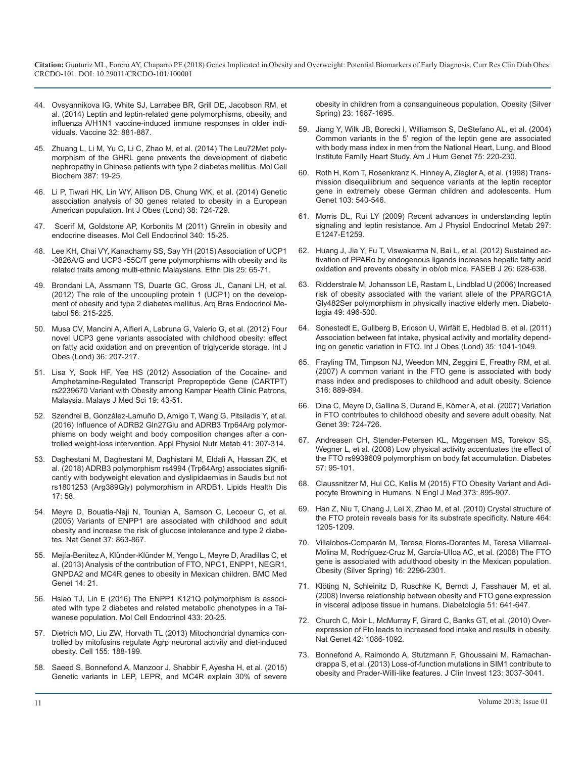- 44. [Ovsyannikova IG, White SJ, Larrabee BR, Grill DE, Jacobson RM, et](https://www.ncbi.nlm.nih.gov/pubmed/24360890)  [al. \(2014\) Leptin and leptin-related gene polymorphisms, obesity, and](https://www.ncbi.nlm.nih.gov/pubmed/24360890)  [influenza A/H1N1 vaccine-induced immune responses in older indi](https://www.ncbi.nlm.nih.gov/pubmed/24360890)[viduals. Vaccine 32: 881-887.](https://www.ncbi.nlm.nih.gov/pubmed/24360890)
- 45. [Zhuang L, Li M, Yu C, Li C, Zhao M, et al. \(2014\) The Leu72Met poly](https://www.ncbi.nlm.nih.gov/pubmed/24132517)[morphism of the GHRL gene prevents the development of diabetic](https://www.ncbi.nlm.nih.gov/pubmed/24132517)  [nephropathy in Chinese patients with type 2 diabetes mellitus. Mol Cell](https://www.ncbi.nlm.nih.gov/pubmed/24132517)  [Biochem 387: 19-25.](https://www.ncbi.nlm.nih.gov/pubmed/24132517)
- 46. [Li P, Tiwari HK, Lin WY, Allison DB, Chung WK, et al. \(2014\) Genetic](https://www.ncbi.nlm.nih.gov/pubmed/23900445)  [association analysis of 30 genes related to obesity in a European](https://www.ncbi.nlm.nih.gov/pubmed/23900445)  [American population. Int J Obes \(Lond\) 38: 724-729.](https://www.ncbi.nlm.nih.gov/pubmed/23900445)
- [47.](https://www.ncbi.nlm.nih.gov/pubmed/19724019) [Scerif M, Goldstone AP, Korbonits M \(2011\) Ghrelin in obesity and](https://www.ncbi.nlm.nih.gov/pubmed/21345363) [endocrine diseases. Mol Cell Endocrinol 340: 15-25.](https://www.ncbi.nlm.nih.gov/pubmed/21345363)
- 48. [Lee KH, Chai VY, Kanachamy SS, Say YH \(2015\) Association of UCP1](https://www.ncbi.nlm.nih.gov/pubmed/25812254)  [-3826A/G and UCP3 -55C/T gene polymorphisms with obesity and its](https://www.ncbi.nlm.nih.gov/pubmed/25812254) [related traits among multi-ethnic Malaysians. Ethn Dis 25: 65-71.](https://www.ncbi.nlm.nih.gov/pubmed/25812254)
- 49. [Brondani LA, Assmann TS, Duarte GC, Gross JL, Canani LH, et al.](https://www.ncbi.nlm.nih.gov/pubmed/22790465) [\(2012\) The role of the uncoupling protein 1 \(UCP1\) on the develop](https://www.ncbi.nlm.nih.gov/pubmed/22790465)[ment of obesity and type 2 diabetes mellitus. Arq Bras Endocrinol Me](https://www.ncbi.nlm.nih.gov/pubmed/22790465)[tabol 56: 215-225.](https://www.ncbi.nlm.nih.gov/pubmed/22790465)
- 50. [Musa CV, Mancini A, Alfieri A, Labruna G, Valerio G, et al. \(2012\) Four](https://www.ncbi.nlm.nih.gov/pubmed/21544083)  [novel UCP3 gene variants associated with childhood obesity: effect](https://www.ncbi.nlm.nih.gov/pubmed/21544083) [on fatty acid oxidation and on prevention of triglyceride storage. Int J](https://www.ncbi.nlm.nih.gov/pubmed/21544083)  [Obes \(Lond\) 36: 207-217.](https://www.ncbi.nlm.nih.gov/pubmed/21544083)
- 51. [Lisa Y, Sook HF, Yee HS \(2012\) Association of the Cocaine- and](https://www.ncbi.nlm.nih.gov/pubmed/22977374) [Amphetamine-Regulated Transcript Prepropeptide Gene \(CARTPT\)](https://www.ncbi.nlm.nih.gov/pubmed/22977374) [rs2239670 Variant with Obesity among Kampar Health Clinic Patrons,](https://www.ncbi.nlm.nih.gov/pubmed/22977374)  [Malaysia. Malays J Med Sci 19: 43-51.](https://www.ncbi.nlm.nih.gov/pubmed/22977374)
- 52. [Szendrei B, González-Lamuño D, Amigo T, Wang G, Pitsiladis Y, et al.](https://www.ncbi.nlm.nih.gov/pubmed/26888112)  [\(2016\) Influence of ADRB2 Gln27Glu and ADRB3 Trp64Arg polymor](https://www.ncbi.nlm.nih.gov/pubmed/26888112)[phisms on body weight and body composition changes after a con](https://www.ncbi.nlm.nih.gov/pubmed/26888112)[trolled weight-loss intervention. Appl Physiol Nutr Metab 41: 307-314.](https://www.ncbi.nlm.nih.gov/pubmed/26888112)
- 53. [Daghestani M, Daghestani M, Daghistani M, Eldali A, Hassan ZK, et](https://www.ncbi.nlm.nih.gov/pubmed/29587766) [al. \(2018\) ADRB3 polymorphism rs4994 \(Trp64Arg\) associates signifi](https://www.ncbi.nlm.nih.gov/pubmed/29587766)[cantly with bodyweight elevation and dyslipidaemias in Saudis but not](https://www.ncbi.nlm.nih.gov/pubmed/29587766) [rs1801253 \(Arg389Gly\) polymorphism in ARDB1. Lipids Health Dis](https://www.ncbi.nlm.nih.gov/pubmed/29587766)  [17: 58.](https://www.ncbi.nlm.nih.gov/pubmed/29587766)
- 54. [Meyre D, Bouatia-Naji N, Tounian A, Samson C, Lecoeur C, et al.](https://www.ncbi.nlm.nih.gov/pubmed/16025115)  [\(2005\) Variants of ENPP1 are associated with childhood and adult](https://www.ncbi.nlm.nih.gov/pubmed/16025115)  [obesity and increase the risk of glucose intolerance and type 2 diabe](https://www.ncbi.nlm.nih.gov/pubmed/16025115)[tes. Nat Genet 37: 863-867.](https://www.ncbi.nlm.nih.gov/pubmed/16025115)
- 55. [Mejía-Benítez A, Klünder-Klünder M, Yengo L, Meyre D, Aradillas C, et](https://www.ncbi.nlm.nih.gov/pubmed/23375129)  [al. \(2013\) Analysis of the contribution of FTO, NPC1, ENPP1, NEGR1,](https://www.ncbi.nlm.nih.gov/pubmed/23375129)  [GNPDA2 and MC4R genes to obesity in Mexican children. BMC Med](https://www.ncbi.nlm.nih.gov/pubmed/23375129)  [Genet 14: 21.](https://www.ncbi.nlm.nih.gov/pubmed/23375129)
- 56. [Hsiao TJ, Lin E \(2016\) The ENPP1 K121Q polymorphism is associ](https://www.ncbi.nlm.nih.gov/pubmed/27238374)[ated with type 2 diabetes and related metabolic phenotypes in a Tai](https://www.ncbi.nlm.nih.gov/pubmed/27238374)[wanese population. Mol Cell Endocrinol 433: 20-25.](https://www.ncbi.nlm.nih.gov/pubmed/27238374)
- 57. [Dietrich MO, Liu ZW, Horvath TL \(2013\) Mitochondrial dynamics con](https://www.ncbi.nlm.nih.gov/pubmed/24074868)[trolled by mitofusins regulate Agrp neuronal activity and diet-induced](https://www.ncbi.nlm.nih.gov/pubmed/24074868)  [obesity. Cell 155: 188-199.](https://www.ncbi.nlm.nih.gov/pubmed/24074868)
- 58. [Saeed S, Bonnefond A, Manzoor J, Shabbir F, Ayesha H, et al. \(2015\)](https://www.ncbi.nlm.nih.gov/pubmed/26179253)  [Genetic variants in LEP, LEPR, and MC4R explain 30% of severe](https://www.ncbi.nlm.nih.gov/pubmed/26179253)

[obesity in children from a consanguineous population. Obesity \(Silver](https://www.ncbi.nlm.nih.gov/pubmed/26179253)  [Spring\) 23: 1687-1695.](https://www.ncbi.nlm.nih.gov/pubmed/26179253)

- 59. [Jiang Y, Wilk JB, Borecki I, Williamson S, DeStefano AL, et al. \(2004\)](https://www.ncbi.nlm.nih.gov/pubmed/15197684)  [Common variants in the 5' region of the leptin gene are associated](https://www.ncbi.nlm.nih.gov/pubmed/15197684)  [with body mass index in men from the National Heart, Lung, and Blood](https://www.ncbi.nlm.nih.gov/pubmed/15197684)  [Institute Family Heart Study. Am J Hum Genet 75: 220-230.](https://www.ncbi.nlm.nih.gov/pubmed/15197684)
- 60. [Roth H, Korn T, Rosenkranz K, Hinney A, Ziegler A, et al. \(1998\) Trans](https://www.ncbi.nlm.nih.gov/pubmed/9860295)[mission disequilibrium and sequence variants at the leptin receptor](https://www.ncbi.nlm.nih.gov/pubmed/9860295)  [gene in extremely obese German children and adolescents. Hum](https://www.ncbi.nlm.nih.gov/pubmed/9860295) [Genet 103: 540-546.](https://www.ncbi.nlm.nih.gov/pubmed/9860295)
- 61. [Morris DL, Rui LY \(2009\) Recent advances in understanding leptin](https://www.ncbi.nlm.nih.gov/pubmed/19724019)  signaling and leptin resistance. Am J Physiol Endocrinol Metab 297: [E1247-E1259.](https://www.ncbi.nlm.nih.gov/pubmed/19724019)
- 62. [Huang J, Jia Y, Fu T, Viswakarma N, Bai L, et al. \(2012\) Sustained ac](https://www.ncbi.nlm.nih.gov/pubmed/22009939)tivation of PPARα by endogenous ligands increases hepatic fatty acid [oxidation and prevents obesity in ob/ob mice. FASEB J 26: 628-638.](https://www.ncbi.nlm.nih.gov/pubmed/22009939)
- 63. [Ridderstrale M, Johansson LE, Rastam L, Lindblad U \(2006\) Increased](https://www.ncbi.nlm.nih.gov/pubmed/16474966)  [risk of obesity associated with the variant allele of the PPARGC1A](https://www.ncbi.nlm.nih.gov/pubmed/16474966) [Gly482Ser polymorphism in physically inactive elderly men. Diabeto](https://www.ncbi.nlm.nih.gov/pubmed/16474966)[logia 49: 496-500.](https://www.ncbi.nlm.nih.gov/pubmed/16474966)
- 64. [Sonestedt E, Gullberg B, Ericson U, Wirfält E, Hedblad B, et al. \(2011\)](https://www.ncbi.nlm.nih.gov/pubmed/21179003)  [Association between fat intake, physical activity and mortality depend](https://www.ncbi.nlm.nih.gov/pubmed/21179003)[ing on genetic variation in FTO. Int J Obes \(Lond\) 35: 1041-1049.](https://www.ncbi.nlm.nih.gov/pubmed/21179003)
- 65. [Frayling TM, Timpson NJ, Weedon MN, Zeggini E, Freathy RM, et al.](https://www.ncbi.nlm.nih.gov/pubmed/17434869) (2007) A common variant in the FTO gene is associated with body [mass index and predisposes to childhood and adult obesity. Science](https://www.ncbi.nlm.nih.gov/pubmed/17434869)  [316: 889-894.](https://www.ncbi.nlm.nih.gov/pubmed/17434869)
- 66. [Dina C, Meyre D, Gallina S, Durand E, Körner A, et al. \(2007\) Variation](https://www.ncbi.nlm.nih.gov/pubmed/17496892)  [in FTO contributes to childhood obesity and severe adult obesity. Nat](https://www.ncbi.nlm.nih.gov/pubmed/17496892)  [Genet 39: 724-726.](https://www.ncbi.nlm.nih.gov/pubmed/17496892)
- 67. [Andreasen CH, Stender-Petersen KL, Mogensen MS, Torekov SS,](https://www.ncbi.nlm.nih.gov/pubmed/17942823) [Wegner L, et al. \(2008\) Low physical activity accentuates the effect of](https://www.ncbi.nlm.nih.gov/pubmed/17942823)  [the FTO rs9939609 polymorphism on body fat accumulation. Diabetes](https://www.ncbi.nlm.nih.gov/pubmed/17942823)  [57: 95-101.](https://www.ncbi.nlm.nih.gov/pubmed/17942823)
- 68. [Claussnitzer M, Hui CC, Kellis M \(2015\) FTO Obesity Variant and Adi](https://www.ncbi.nlm.nih.gov/pubmed/26760096)[pocyte Browning in Humans. N Engl J Med 373: 895-907.](https://www.ncbi.nlm.nih.gov/pubmed/26760096)
- 69. [Han Z, Niu T, Chang J, Lei X, Zhao M, et al. \(2010\) Crystal structure of](https://www.ncbi.nlm.nih.gov/pubmed/20376003)  [the FTO protein reveals basis for its substrate specificity. Nature 464:](https://www.ncbi.nlm.nih.gov/pubmed/20376003)  [1205-1209.](https://www.ncbi.nlm.nih.gov/pubmed/20376003)
- 70. [Villalobos-Comparán M, Teresa Flores-Dorantes M, Teresa Villarreal-](https://www.ncbi.nlm.nih.gov/pubmed/18719664)[Molina M, Rodríguez-Cruz M, García-Ulloa AC, et al. \(2008\) The FTO](https://www.ncbi.nlm.nih.gov/pubmed/18719664)  [gene is associated with adulthood obesity in the Mexican population.](https://www.ncbi.nlm.nih.gov/pubmed/18719664)  [Obesity \(Silver Spring\) 16: 2296-2301.](https://www.ncbi.nlm.nih.gov/pubmed/18719664)
- 71. [Klöting N, Schleinitz D, Ruschke K, Berndt J, Fasshauer M, et al.](https://www.ncbi.nlm.nih.gov/pubmed/18251005)  [\(2008\) Inverse relationship between obesity and FTO gene expression](https://www.ncbi.nlm.nih.gov/pubmed/18251005)  [in visceral adipose tissue in humans. Diabetologia 51: 641-647.](https://www.ncbi.nlm.nih.gov/pubmed/18251005)
- 72. [Church C, Moir L, McMurray F, Girard C, Banks GT, et al. \(2010\) Over](https://www.ncbi.nlm.nih.gov/pubmed/21076408)[expression of Fto leads to increased food intake and results in obesity.](https://www.ncbi.nlm.nih.gov/pubmed/21076408)  [Nat Genet 42: 1086-1092.](https://www.ncbi.nlm.nih.gov/pubmed/21076408)
- 73. [Bonnefond A, Raimondo A, Stutzmann F, Ghoussaini M, Ramachan](https://www.ncbi.nlm.nih.gov/pubmed/23778136)[drappa S, et al. \(2013\) Loss-of-function mutations in SIM1 contribute to](https://www.ncbi.nlm.nih.gov/pubmed/23778136)  [obesity and Prader-Willi-like features. J Clin Invest 123: 3037-3041.](https://www.ncbi.nlm.nih.gov/pubmed/23778136)